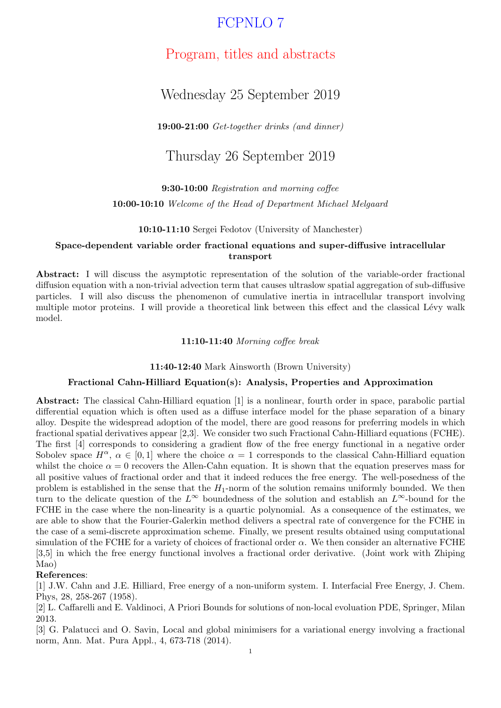# FCPNLO 7

# Program, titles and abstracts

# Wednesday 25 September 2019

19:00-21:00 Get-together drinks (and dinner)

# Thursday 26 September 2019

# 9:30-10:00 Registration and morning coffee

# 10:00-10:10 Welcome of the Head of Department Michael Melgaard

# 10:10-11:10 Sergei Fedotov (University of Manchester)

# Space-dependent variable order fractional equations and super-diffusive intracellular transport

Abstract: I will discuss the asymptotic representation of the solution of the variable-order fractional diffusion equation with a non-trivial advection term that causes ultraslow spatial aggregation of sub-diffusive particles. I will also discuss the phenomenon of cumulative inertia in intracellular transport involving multiple motor proteins. I will provide a theoretical link between this effect and the classical Lévy walk model.

### 11:10-11:40 Morning coffee break

# 11:40-12:40 Mark Ainsworth (Brown University)

# Fractional Cahn-Hilliard Equation(s): Analysis, Properties and Approximation

Abstract: The classical Cahn-Hilliard equation [1] is a nonlinear, fourth order in space, parabolic partial differential equation which is often used as a diffuse interface model for the phase separation of a binary alloy. Despite the widespread adoption of the model, there are good reasons for preferring models in which fractional spatial derivatives appear [2,3]. We consider two such Fractional Cahn-Hilliard equations (FCHE). The first [4] corresponds to considering a gradient flow of the free energy functional in a negative order Sobolev space  $H^{\alpha}$ ,  $\alpha \in [0,1]$  where the choice  $\alpha = 1$  corresponds to the classical Cahn-Hilliard equation whilst the choice  $\alpha = 0$  recovers the Allen-Cahn equation. It is shown that the equation preserves mass for all positive values of fractional order and that it indeed reduces the free energy. The well-posedness of the problem is established in the sense that the  $H_1$ -norm of the solution remains uniformly bounded. We then turn to the delicate question of the  $L^{\infty}$  boundedness of the solution and establish an  $L^{\infty}$ -bound for the FCHE in the case where the non-linearity is a quartic polynomial. As a consequence of the estimates, we are able to show that the Fourier-Galerkin method delivers a spectral rate of convergence for the FCHE in the case of a semi-discrete approximation scheme. Finally, we present results obtained using computational simulation of the FCHE for a variety of choices of fractional order  $\alpha$ . We then consider an alternative FCHE [3,5] in which the free energy functional involves a fractional order derivative. (Joint work with Zhiping Mao)

# References:

[1] J.W. Cahn and J.E. Hilliard, Free energy of a non-uniform system. I. Interfacial Free Energy, J. Chem. Phys, 28, 258-267 (1958).

[2] L. Caffarelli and E. Valdinoci, A Priori Bounds for solutions of non-local evoluation PDE, Springer, Milan 2013.

[3] G. Palatucci and O. Savin, Local and global minimisers for a variational energy involving a fractional norm, Ann. Mat. Pura Appl., 4, 673-718 (2014).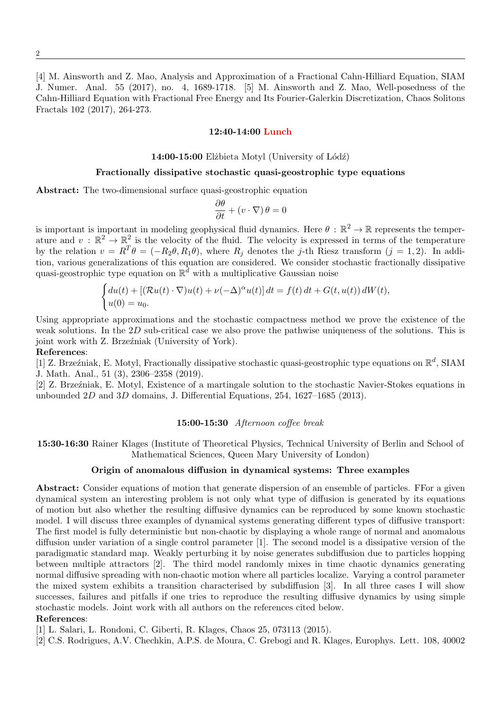[4] M. Ainsworth and Z. Mao, Analysis and Approximation of a Fractional Cahn-Hilliard Equation, SIAM J. Numer. Anal. 55 (2017), no. 4, 1689-1718. [5] M. Ainsworth and Z. Mao, Well-posedness of the Cahn-Hilliard Equation with Fractional Free Energy and Its Fourier-Galerkin Discretization, Chaos Solitons Fractals 102 (2017), 264-273.

#### 12:40-14:00 Lunch

#### 14:00-15:00 Elżbieta Motyl (University of  $Lódž$ )

# Fractionally dissipative stochastic quasi-geostrophic type equations

Abstract: The two-dimensional surface quasi-geostrophic equation

$$
\frac{\partial \theta}{\partial t} + (v \cdot \nabla) \theta = 0
$$

is important is important in modeling geophysical fluid dynamics. Here  $\theta : \mathbb{R}^2 \to \mathbb{R}$  represents the temperature and  $v : \mathbb{R}^2 \to \mathbb{R}^2$  is the velocity of the fluid. The velocity is expressed in terms of the temperature by the relation  $v = R^T \theta = (-R_2 \theta, R_1 \theta)$ , where  $R_j$  denotes the j-th Riesz transform  $(j = 1, 2)$ . In addition, various generalizations of this equation are considered. We consider stochastic fractionally dissipative quasi-geostrophic type equation on  $\mathbb{R}^{\mathbb{d}}$  with a multiplicative Gaussian noise

$$
\begin{cases} du(t) + \left[ (\mathcal{R}u(t) \cdot \nabla)u(t) + \nu (-\Delta)^{\alpha} u(t) \right] dt = f(t) dt + G(t, u(t)) dW(t), \\ u(0) = u_0. \end{cases}
$$

Using appropriate approximations and the stochastic compactness method we prove the existence of the weak solutions. In the 2D sub-critical case we also prove the pathwise uniqueness of the solutions. This is joint work with Z. Brzeźniak (University of York).

#### References:

[1] Z. Brzeźniak, E. Motyl, Fractionally dissipative stochastic quasi-geostrophic type equations on  $\mathbb{R}^d$ , SIAM J. Math. Anal., 51 (3), 2306–2358 (2019).

[2] Z. Brzeźniak, E. Motyl, Existence of a martingale solution to the stochastic Navier-Stokes equations in unbounded 2D and 3D domains, J. Differential Equations, 254, 1627–1685 (2013).

#### 15:00-15:30 Afternoon coffee break

15:30-16:30 Rainer Klages (Institute of Theoretical Physics, Technical University of Berlin and School of Mathematical Sciences, Queen Mary University of London)

### Origin of anomalous diffusion in dynamical systems: Three examples

Abstract: Consider equations of motion that generate dispersion of an ensemble of particles. FFor a given dynamical system an interesting problem is not only what type of diffusion is generated by its equations of motion but also whether the resulting diffusive dynamics can be reproduced by some known stochastic model. I will discuss three examples of dynamical systems generating different types of diffusive transport: The first model is fully deterministic but non-chaotic by displaying a whole range of normal and anomalous diffusion under variation of a single control parameter [1]. The second model is a dissipative version of the paradigmatic standard map. Weakly perturbing it by noise generates subdiffusion due to particles hopping between multiple attractors [2]. The third model randomly mixes in time chaotic dynamics generating normal diffusive spreading with non-chaotic motion where all particles localize. Varying a control parameter the mixed system exhibits a transition characterised by subdiffusion [3]. In all three cases I will show successes, failures and pitfalls if one tries to reproduce the resulting diffusive dynamics by using simple stochastic models. Joint work with all authors on the references cited below. References:

[1] L. Salari, L. Rondoni, C. Giberti, R. Klages, Chaos 25, 073113 (2015).

[2] C.S. Rodrigues, A.V. Chechkin, A.P.S. de Moura, C. Grebogi and R. Klages, Europhys. Lett. 108, 40002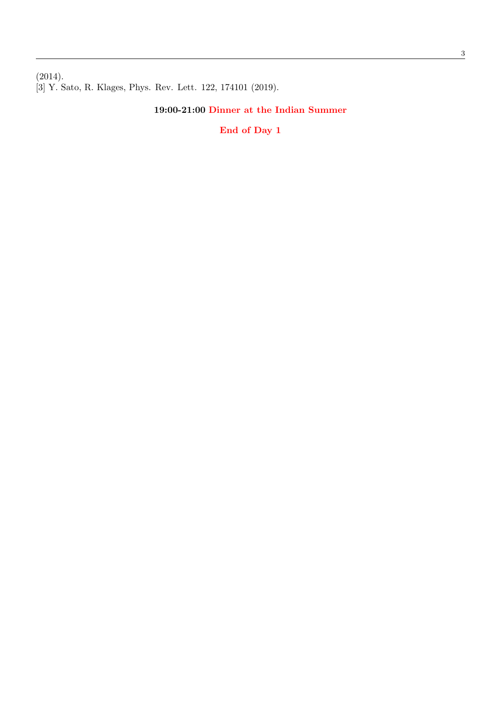(2014). [3] Y. Sato, R. Klages, Phys. Rev. Lett. 122, 174101 (2019).

# 19:00-21:00 Dinner at the Indian Summer

End of Day 1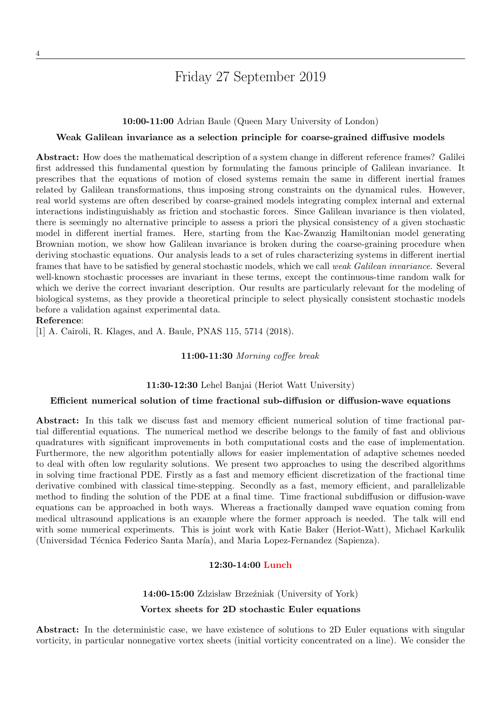# Friday 27 September 2019

#### 10:00-11:00 Adrian Baule (Queen Mary University of London)

### Weak Galilean invariance as a selection principle for coarse-grained diffusive models

Abstract: How does the mathematical description of a system change in different reference frames? Galilei first addressed this fundamental question by formulating the famous principle of Galilean invariance. It prescribes that the equations of motion of closed systems remain the same in different inertial frames related by Galilean transformations, thus imposing strong constraints on the dynamical rules. However, real world systems are often described by coarse-grained models integrating complex internal and external interactions indistinguishably as friction and stochastic forces. Since Galilean invariance is then violated, there is seemingly no alternative principle to assess a priori the physical consistency of a given stochastic model in different inertial frames. Here, starting from the Kac-Zwanzig Hamiltonian model generating Brownian motion, we show how Galilean invariance is broken during the coarse-graining procedure when deriving stochastic equations. Our analysis leads to a set of rules characterizing systems in different inertial frames that have to be satisfied by general stochastic models, which we call weak Galilean invariance. Several well-known stochastic processes are invariant in these terms, except the continuous-time random walk for which we derive the correct invariant description. Our results are particularly relevant for the modeling of biological systems, as they provide a theoretical principle to select physically consistent stochastic models before a validation against experimental data.

#### Reference:

[1] A. Cairoli, R. Klages, and A. Baule, PNAS 115, 5714 (2018).

### 11:00-11:30 Morning coffee break

#### 11:30-12:30 Lehel Banjai (Heriot Watt University)

### Efficient numerical solution of time fractional sub-diffusion or diffusion-wave equations

Abstract: In this talk we discuss fast and memory efficient numerical solution of time fractional partial differential equations. The numerical method we describe belongs to the family of fast and oblivious quadratures with significant improvements in both computational costs and the ease of implementation. Furthermore, the new algorithm potentially allows for easier implementation of adaptive schemes needed to deal with often low regularity solutions. We present two approaches to using the described algorithms in solving time fractional PDE. Firstly as a fast and memory efficient discretization of the fractional time derivative combined with classical time-stepping. Secondly as a fast, memory efficient, and parallelizable method to finding the solution of the PDE at a final time. Time fractional subdiffusion or diffusion-wave equations can be approached in both ways. Whereas a fractionally damped wave equation coming from medical ultrasound applications is an example where the former approach is needed. The talk will end with some numerical experiments. This is joint work with Katie Baker (Heriot-Watt), Michael Karkulik (Universidad Técnica Federico Santa María), and Maria Lopez-Fernandez (Sapienza).

### 12:30-14:00 Lunch

# 14:00-15:00 Zdzisław Brzeźniak (University of York) Vortex sheets for 2D stochastic Euler equations

Abstract: In the deterministic case, we have existence of solutions to 2D Euler equations with singular vorticity, in particular nonnegative vortex sheets (initial vorticity concentrated on a line). We consider the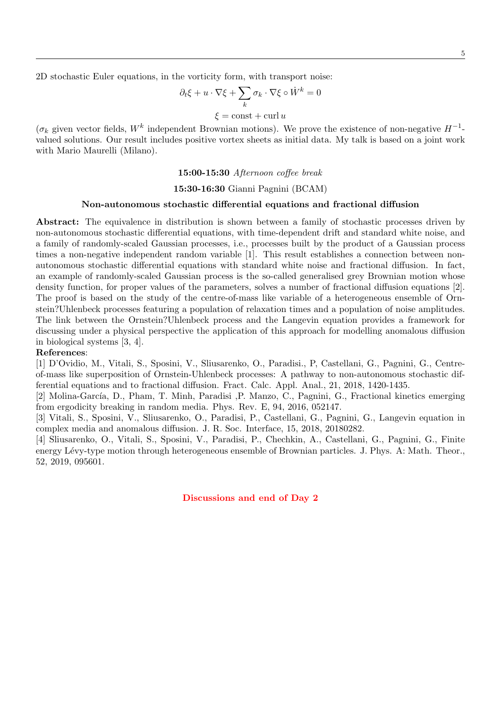2D stochastic Euler equations, in the vorticity form, with transport noise:

$$
\partial_t \xi + u \cdot \nabla \xi + \sum_k \sigma_k \cdot \nabla \xi \circ \dot{W}^k = 0
$$

 $\xi = \text{const} + \text{curl } u$ 

 $(\sigma_k$  given vector fields,  $W^k$  independent Brownian motions). We prove the existence of non-negative  $H^{-1}$ valued solutions. Our result includes positive vortex sheets as initial data. My talk is based on a joint work with Mario Maurelli (Milano).

15:00-15:30 Afternoon coffee break

15:30-16:30 Gianni Pagnini (BCAM)

#### Non-autonomous stochastic differential equations and fractional diffusion

Abstract: The equivalence in distribution is shown between a family of stochastic processes driven by non-autonomous stochastic differential equations, with time-dependent drift and standard white noise, and a family of randomly-scaled Gaussian processes, i.e., processes built by the product of a Gaussian process times a non-negative independent random variable [1]. This result establishes a connection between nonautonomous stochastic differential equations with standard white noise and fractional diffusion. In fact, an example of randomly-scaled Gaussian process is the so-called generalised grey Brownian motion whose density function, for proper values of the parameters, solves a number of fractional diffusion equations [2]. The proof is based on the study of the centre-of-mass like variable of a heterogeneous ensemble of Ornstein?Uhlenbeck processes featuring a population of relaxation times and a population of noise amplitudes. The link between the Ornstein?Uhlenbeck process and the Langevin equation provides a framework for discussing under a physical perspective the application of this approach for modelling anomalous diffusion in biological systems [3, 4].

#### References:

[1] D'Ovidio, M., Vitali, S., Sposini, V., Sliusarenko, O., Paradisi., P, Castellani, G., Pagnini, G., Centreof-mass like superposition of Ornstein-Uhlenbeck processes: A pathway to non-autonomous stochastic differential equations and to fractional diffusion. Fract. Calc. Appl. Anal., 21, 2018, 1420-1435.

[2] Molina-García, D., Pham, T. Minh, Paradisi ,P. Manzo, C., Pagnini, G., Fractional kinetics emerging from ergodicity breaking in random media. Phys. Rev. E, 94, 2016, 052147.

[3] Vitali, S., Sposini, V., Sliusarenko, O., Paradisi, P., Castellani, G., Pagnini, G., Langevin equation in complex media and anomalous diffusion. J. R. Soc. Interface, 15, 2018, 20180282.

[4] Sliusarenko, O., Vitali, S., Sposini, V., Paradisi, P., Chechkin, A., Castellani, G., Pagnini, G., Finite energy Lévy-type motion through heterogeneous ensemble of Brownian particles. J. Phys. A: Math. Theor., 52, 2019, 095601.

Discussions and end of Day 2